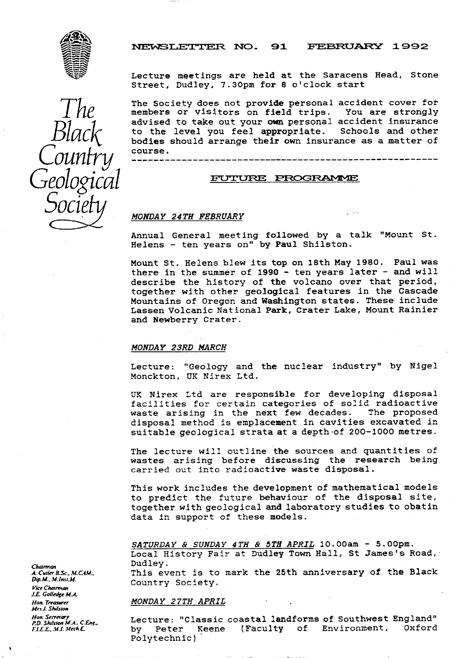

*The*

*Black*

Country

*Geological*

*Socie*

## NEWSLETTER NO. 91 FEBRUARY 1992

Lecture meetings are held at the Saracens Head, Stone Street, Dudley. 7.30pm for 8 o'clock start

The Society does not provide personal accident cover for members or visitors on field trips. You are strongly advised to take out your own personal accident insurance to the level you feel appropriate. bodies should arrange their own insurance as a matter of course. Schools and other

#### FUTURE PROGRAMME

#### MONDAY 24TH FEBRUARY

Annual General meeting followed by a talk "Mount St. Helens - ten years on" by Paul Shilston.

್ತಿ ಅ

Mount St. Helens blew its top on 18th May 1980. Paul was there in the summer of 1990 - ten years later - and will describe the history of the volcano over that period, together with other geological features in the Cascade Mountains of Oregon and Washington states. These include Lassen Volcanic National Park, Crater Lake, Mount Rainier and Newberry Crater.

#### MONDAY 23RD MARCH

Lecture: "Geology and the nuclear industry" by Nigel Monckton, UK Nirex Ltd.

UK Nirex Ltd are responsible for developing disposal facilities for certain categories of solid radioactive<br>waste arising in the next few decades. The proposed waste arising in the next few decades. disposal method is emplacement in cavities excavated in suitable geological strata at a depth •of 200-1000 metres.

The lecture will outline the sources and quantities of wastes arising before discussing the research being carried out into radioactive waste disposal.

This work includes the development of mathematical models to predict the future behaviour of the disposal site, together with geological and laboratory studies to obatin data in support of these models.

SATURDAY & SUNDAY 4TH & 5TH APRIL 10.00am - 5.00pm. Local History Fair at Dudley Town Hall, St James's Road, Dudley.

This event is to mark the 25th anniversary of the Black Country Society.

#### *MONDAY 27TH APRIL*

Lecture: "Classic coastal landforms of Southwest England"<br>by Peter Keene (Faculty of Environment, Oxford by Peter Keene (Faculty of Environment, Polytechnic)

*Chairman* A. Curler 8.S*c.*. M. CAM.. *Dip.M.. M.1r.s .M. vice Chairman !.E Goiedge* M.A. Hon. Treasurer Mrs J. Shilston *Hon. Secretary*<br>*P.D. Shilston M.A., C.Eng. FLE*E.*. Mi. Meclk*E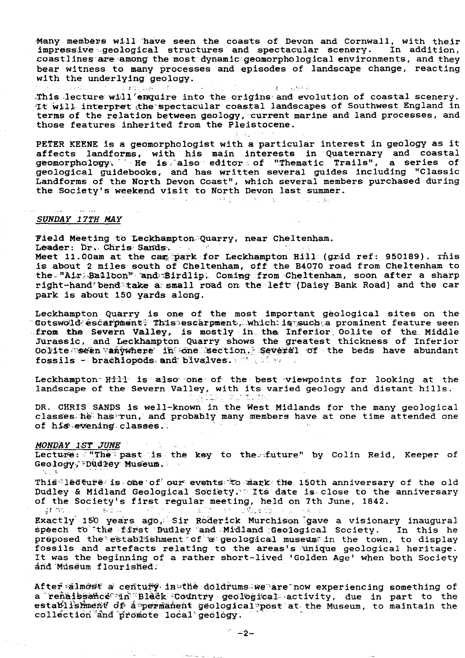Many members will have seen the coasts of Devon and Cornwall, with their impressive geological structures and spectacular scenery. In addition. coastlines are among the most dynamic geomorphological environments, and they bear witness to many processes and episodes of landscape change, reacting with the underlying geology.

เจนนี และ こうどう おんぼう This lecture will enquire into the origins and evolution of coastal scenery. It will interpret the spectacular coastal landscapes of Southwest England in terms of the relation between geology, current marine and land processes, and

PETER KEENE is a geomorphologist with a particular interest in geology as it affects landforms, with his main interests in Quaternary and coastal<br>geomorphology. He is also editor of "Thematic Trails", a series of geological guidebooks, and has written several guides including "Classic Landforms of the North Devon Coast", which several members purchased during the Society's weekend visit to North Devon last summer.

> $\sim 2-2$  . (1982) 法人类人家

# SUNDAY 17TH MAY

Field Meeting to Leckhampton Quarry, near Cheltenham.

those features inherited from the Pleistocene.

Leader: Dr. Chris Sands.

Meet 11.00am at the came park for Leckhampton Hill (grid ref: 950189). This is about 2 miles south of Cheltenham, off the B4070 road from Cheltenham to the "Air Balloon" and Birdlip. Coming from Cheltenham, soon after a sharp right-hand bend take a small road on the left (Daisy Bank Road) and the car park is about 150 yards along.

Leckhampton Ouarry is one of the most important geological sites on the Cotswold escarpment, This escarpment, which is such a prominent feature seen from the Severn Valley, is mostly in the Inferior Oolite of the Middle Jurassic, and Leckhampton Quarry shows the greatest thickness of Inferior Oolite seen vanywhere in one section, Several of the beds have abundant fossils - brachiopods and bivalves. We show

Leckhampton Hill is also one of the best viewpoints for looking at the landscape of the Severn Valley, with its varied geology and distant hills. 金海などの内部

DR. CHRIS SANDS is well-known in the West Midlands for the many geological classes he has run, and probably many members have at one time attended one of his evening classes.

MONDAY IST JUNE and a state Lecture: "The past is the key to the future" by Colin Reid, Keeper of Geology, Dudley Museum. 白土市

This ledture is one of our events to mark the 150th anniversary of the old Dudley & Midland Geological Society. Its date is close to the anniversary of the Society's first regular meeting, held on 7th June, 1842. IF AS LOOKS CHARLEY John Wilson and Division of (き) 2000 を発言

Exactly 150 years ago, Sir Roderick Murchison gave a visionary inaugural speech to the first Budley and Midland Geological Society. In this he preposed the establishment of a geological museum in the town, to display fossils and artefacts relating to the areas's unique geological heritage.<br>It was the beginning of a rather short-lived 'Golden Age' when both Society and Museum flourished.

After almost a century in the doldrums we are now experiencing something of a renaissance in Black Country geological activity, due in part to the<br>establishment of a permanent geological post at the Museum, to maintain the collection and promote local geology.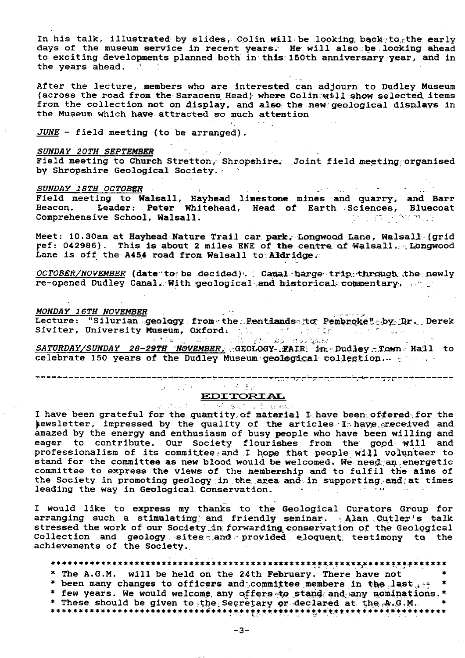In his talk, illustrated by slides, Colin will be looking back-to, the early days of the museum service in recent years. He will also be looking ahead to exciting developments planned both in th**is 150th anniversary year, and i**n the vears ahead. ...

After the lecture, members who are interested can adjourn to Dudley Museum (across the road from the Saracens Head) where Colin will show selected items from the collection not on display, and also the new geological displays in the Museum which have attracted so much attention

JUNE - field meeting (to be arranged).

#### SUNDAY 20TH SEPTEMBER

SUNDAY 20TH SEPTEMBER<br>Field meeting to Church Stretton, Shropshire. Joint field meeting organised by Shropshire Geological Society.

# *SUNDAY 18TH* OCTOBER ..

Field meeting to Walsall, Hayhead limestone mines and quarry, and Barr<br>Beacon. Leader: Peter Whitehead. Head of Earth Sciences. Bluecoat Leader: Peter Whitehead, Head of Earth Sciences, Bluecoat<br>ve School, Walsall. Comprehensive School, Walsall.

Meet: **10.** 30am at Hayhead Nature Trail car, park. Longwood Lane, Walsall. ( grid ref: 042986). This is about 2 miles ENE of the centre of Walsall. Longwood Lane is off the A454 road from Walsall to Aldridge. il car park, Lon<br>s ENE of the central<br>sall to Aldridge<br>ed). Canal bar<br>jical and histor<br>he Pentlandss it<br>de Pentlandss it<br>de Pentlandss it<br>de Pentlandss it

*OCTOBER/NOVEMBER* (date 'to be decided) . Canal barge trip through the newly re-opened Dudley Canal. With .geological and historical commentary,  $\beta$  is  $\epsilon$ 

#### *MONDAY 16TH NOVEMBER •*

**Lecture: "Silurian .geology from the .Pentdands to Pembroke" by Dr. Derek** Siviter, University Museum, Oxford.

<u>SATURDAY/SUNDAY 28-2<mark>9TH 'NOVEMBER,</mark> GEOLOGY-;FAIR</u> in Dud<mark>le</mark>y Town-Hall to celebrate 150 years of the Dudley Museum geological collection.  $\sim$   $\sim$   $\sim$ 

------------------------------- -- ----^- - --- --- . -

# EDITORIAL

I have been grateful for the quantity of material L have been offered for the pewsletter, impressed by the quality of the articles- Is have greceived and amazed by the energy and enthusiasm of busy people who have been willing and eager to contribute. Our Society flourishes from the good will and<br>professionalism of its committee- and I hope that people will volunteer to stand for the committee as new blood would be welcomed. We need an energetic committee to express the views of the membership and to fulfil the aims of the Society in promoting geology in the area and in supporting and at times leading the way in Geological Conservation. leading the way in Geological Conservation.

I would like to express my thanks to the Geological Curators Group for arranging such a stimulating and friendly seminar.  $\frac{1}{2}$  Alan Cutler's talk stressed the work of our Society in forwarding conservation of the Geological Collection and geology sites and provided eloquent, testimony to the achievements of the Society..

## \*\*\*\*\*\*\*\*\*\*\*\*\*\*\*\*s\*\*\*\*\*\*\*\*\*\*\*\*\*\*\*\*\*\*\*\*\*\*\*\*\*\*\*\*s\*\*\*.\*\*\*\*\*\*\*\*\*\*\*s\*\*s.#\*\*\*\*\*\*

- \* The A.G.M. will be held on the 24th February. There have not
- \* been many changes to officers and committee members in the last  $s \mapsto$  \*
- \* few years. We would welcome, any offers to stand and any nominations. \*
- \* These should be given to the Secretary or declared at the A.G.M. \* \*s\*\*\*\*\*\*s\*x\*\*\*\*\*\*\*\*\*\*\*\*\*\*\*s\*\*\*\*\*\*\*\*\*\*\*^s^s\*\*\*\*\*\*\*\*^.\*#.\*\*\*\*\*\*^xc\*\*\*\*\*\*\*s\*s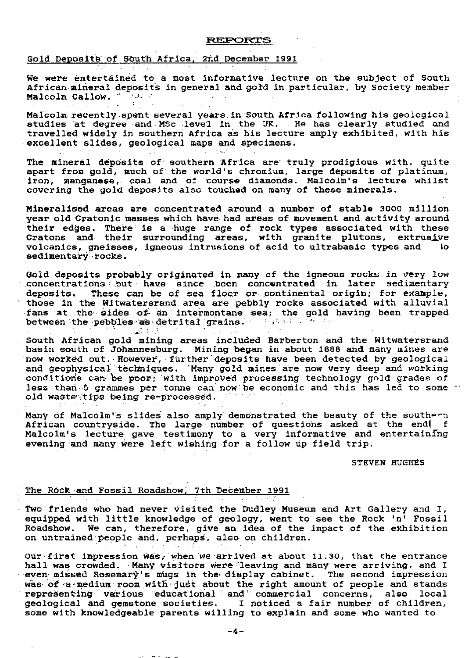#### R^F^OFZTS

# Gold Deposits of South Africa. 2nd December 1991

We were entertained to a most informative lecture on the subject of South African mineral deposits in general and gold in particular, by Society member<br>Malcolm Callow Malcolm Callow.

Malcolm recently spent several years in South Africa following his geological studies at degree and-MSc .leve'l in the UK: He has clearly studied and travelled widely in southern Africa as his lecture amply exhibited, with his excellent slides, geological maps and specimens.

The mineral deposits of southern Africa are truly prodigious with, quite apart from gold, much of the world's chromium, large deposits of platinum, iron, manganese, coal and of course diamonds. Malcolm's lecture whilst covering the gold deposits also touched on many of these minerals.

Mineralised areas are concentrated around a number of stable 3000 million year old Cratonic masses which have had areas of movement and activity around their edges. There is a huge range of rock types associated with these Cratons and their surrounding areas, with granite plutons, extrus<u>i</u>ve volcanics, gneisses, igneous intrusions of acid to ultrabasic types and lo sedimentary rocks.

Gold deposits probably originated in many of the igneous rocks in very low concentrations but have since been concentrated in later sedimentary<br>deposits. These can be of sea floor or continental origin; for example, These can be of sea floor or continental origin; for example, those in the Witwatersrand area are pebbly rocks associated with alluvial •fans at the, sides of- an-intermontane sea; the gold having been trapped between the pebbles as detrital grains. The same of the set of the set of the set of the set of the set of the set of the set of the set of the set of the set of the set of the set of the set of the set of the set of the s

South African gold mining areas included Barberton and the Witwatersrand basin south of Johannesburg. Mining began in about 1888 and many mines are now worked out. However, further deposits have been detected by geological and geophysical techniques. 'Many gold mines are now very deep and working conditions can be poor; with improved processing technology gold grades of less than 5 grammes per tonne can now be economic and this has led to some " old waste tips being re-processed.

Many of Malcolm's slides also amply demonstrated the beauty of the southern African countryside. The large number of questions asked at the end $\vert$ Malcolm's lecture gave testimony to a very informative and entertaining evening and many were left wishing for a follow up field trip.  $\hspace{.1cm}$ 

#### STEVEN HUGHES

### The Rock and Fossil Roadshow; 7th December 1991

Two friends who had never visited the Dudley Museum and Art Gallery and I, equipped with little knowledge of geology, went to see the Rock 'n' Fossil Roadshow. We can, therefore, give an idea of the impact of the exhibition on untrained people and, perhaps, also on children.

Our-first impression was, when we arrived at about  $11.30$ , that the entrance hall- was crowded. Many visitors were leaving and many were arriving, and I even missed Rosemary's mugs in the display cabinet. The second impression was of a medium room with just about the right amount of people and stands representing various educational and commercial concerns, also local geological and gemstone societies. I noticed a fair number of children, some with knowledgeable parents willing to explain and some who wanted to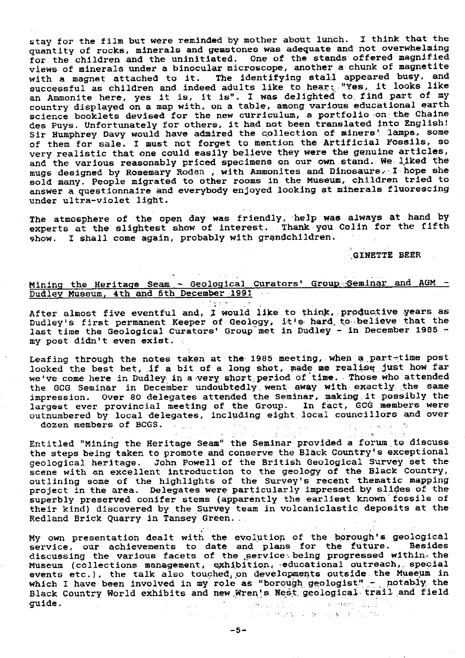stay for the film but were reminded by mother about lunch. I think that the quantity of rocks, minerals and gemstones was adequate and not overwhelming for the children and the uninitiated. One of the stands offered magnified views of minerals under a binocular microscope, another a chunk of magnetite with a magnet attached to it. The identifying **stall appeared** busy, and with a magnet attached to it. The furnifying plant of the case of the like successful as children and indeed adults like to hear;. "Yes, it looks like an Ammonite here, **yes** it is, it is". I was delighted to, find part of my country displayed on a map with, on a table, among various educational earth science booklets devised for the new curriculum, a portfolio on the Chaine des Puys. Unfortunately for others, it had not been translated Into English! Sir Humphrey Davy would have admired the collection of miners' lamps, some of them for sale. I must not forget to mention the Artificial **Fossils,** so very realistic that one could easily believe they were the genuine articles, and the various reasonably priced specimens on our own stand. We liked the mugs designed by Rosemary Roden , with Ammonites and Dinosaurs.-I *hope she* sold many. People migrated to other rooms in the Museum, children tried to answer a questionnaire and everybody enjoyed looking at minerals fluorescing under ultra-violet light.

The atmosphere of the open day was friendly, help was always at hand by experts at the slightest show of interest. Thank you Colin for the fifth Show. I shall come again, probably with *grandchildren.*

GINETTE BEER

# Mining the Heritage Seam - Geological Curators' Group Seminar and AGM -Dudley Museum, 4th and 5th December 1991

 $\mathcal{F}=\frac{1}{2} \sum_{i=1}^n \mathcal{F}_i \mathcal{F}_i^{\mathcal{F}}$  , where  $\mathcal{F}_i$ 

After almost five eventful and, I would like to think, productive years as. Dudley's first permanent Keeper of Geology, it's hard to believe that the last time the Geological Curators' Group met in Dudley - in December 1985 my post didn't even exist.

Leafing through the notes taken at the 1985 meeting, when a part-time post looked the best bet, if a bit of a long shot, made me realise just how far *we've come* here in Dudley in a -very, short period of time. • 'Those who attended the GCG Seminar in December undoubtedly went away with exactly the same impression. Over 80 delegates attended the Seminar, **making.it** possibly the largest ever provincial meeting of the Group. In fact, GCG members were outnumbered by local delegates, including eight, local councillors and over dozen members of BCGS.

Entitled "Mining the Heritage Seam" the Seminar provided a forum to discuss the steps being taken to promote and conserve the Black Country's exceptional geological heritage. John Powell of the British Geological Survey set the scene with an excellent introduction to the geology of the Black Country, *outlining some of* the highlights of the Survey's recent thematic mapping project in the area. Delegates were particularly impressed by slides of the superbly preserved conifer stems (apparently the earliest known fossils of their kind) discovered by the Survey team in volcaniclastic, deposits at the Redland Brick Quarry in Tansey Green..

My own presentation dealt with the evolution of the borough's geological<br>service, our achievements to date and plans for the future. Besides service, our achievements to date and plans for the future. discussing the various facets of the service being progressed within-the Museum (collections management, exhibition, *•educational* outreach,, special events etc.), the talk also touched, on developments outside the Museum in which I have been involved in my role as "borough geologist" - notably the Black Country World exhibits and new Wren's Nest geological trail and field guide. **SCENTING** 1977  $\label{eq:1} \sqrt{2\pi}\exp\left(-\frac{1}{2}\sqrt{2}\left(\sqrt{2}-\beta\right)\right)$ 

The state of a series of his term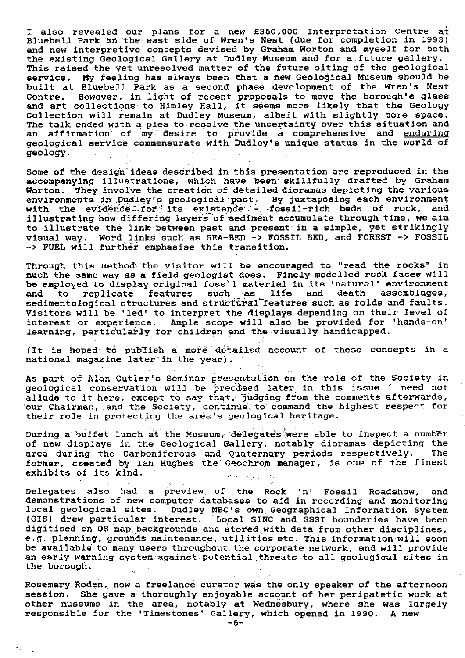I also revealed our plans for a new £350,000 Interpretation Centre at Bluebell Park on the east side of Wren's Nest (due for completion in 1993) and new interpretive concepts devised by Graham Worton and myself for both the existing Geological Gallery at Dudley Museum and for a future gallery. This raised the yet unresolved matter of the future siting of the geological service. My feeling has always been that a new Geological Museum should be built at Bluebell Park as a second phase development of the Wren's Nest Centre. However, in light of recent proposals to move the borough's glass and art collections to Himley Hall, it seems more likely that the Geology Collection will remain at Dudley Museum, albeit with slightly more space. The talk ended with a plea to resolve the uncertainty over this situation and affirmation of my desire to provide a comprehensive and enduring geological service commensurate with Dudley's unique status in the world of geology.

Some of the design ideas described in this presentation are reproduced in the accompanying .illustrations, which have been skillfully drafted by Graham Worton. They involve the creation of detailed dioramas depicting the various environments in Dudley's geological past. By juxtaposing each environment<br>with the evidence for its existence - fossil-rich beds of rock, and environments in padiey s geological has . By juxcaposing communications with the evidence for its existence - fossil-rich beds of rock, and illustrating how differing layers of sediment accumulate through time, we aim to illustrate the link-between.past and present in a simple, yet strikingly visual way. Word links such as SEA-BED -> FOSSIL BED, and FOREST -> FOSSIL -> FUEL will further emphasise this transition.

Through this method the visitor will be encouraged to "read the rocks" in much the same way as a field geologist does. Finely modelled rock faces will be employed to display original fossil material in its 'natural' environment and to replicate features such as life and death assemblages, medimentological structures and structural features such as folds and faults. Visitors will be 'led' to interpret the displays depending on their level of interest or experience. Ample scope will also be provided for 'hands-on' learning, particularly for children and the visually handicapped.

(It is hoped to publish a more detailed account of these concepts in a national magazine later in the year)..

As part of Alan Cutler's Seminar presentation on the role of the Society in geological conservation will be precised later in this issue I need not allude to it here, except to say that, judging from the comments afterwards, our Chairman, and the Society, continue: to command the highest respect for their role in protecting the area's geological heritage.

During a buffet lunch at the Museum, delegates were able to inspect a number of new displays in the Geological Gallery, notably dioramas depicting the<br>area during the Carboniferous and Quaternary periods respectively. The area during the Carboniferous and Quaternary periods respectively. former, created by Ian Hughes the Geochrom manager, is one of the finest exhibits of its kind.

Delegates also had a preview. of the Rock 'n' Fossil Roadshow, and demonstrations of new computer databases to aid in recording and monitoring local geological sites. Dudley MBC's own Geographical Information System (GIS) drew particular interest. Local SINC and.SSSI boundaries have been digitised on OS map backgrounds and stored with data from other disciplines, e.g. planning, grounds maintenance, utilities etc. This information will soon be available to many users throughout the corporate network, and will provide an early warning system against potential\_ threats to all geological sites in the borough.

Rosemary Roden, now a freelance curator was the only speaker of the afternoon session. She gave a thoroughly enjoyable account of her peripatetic work at other museums in the area, notably at Wednesbury, where she was largely responsible for the 'Timestones' Gallery, which opened in 1990. A new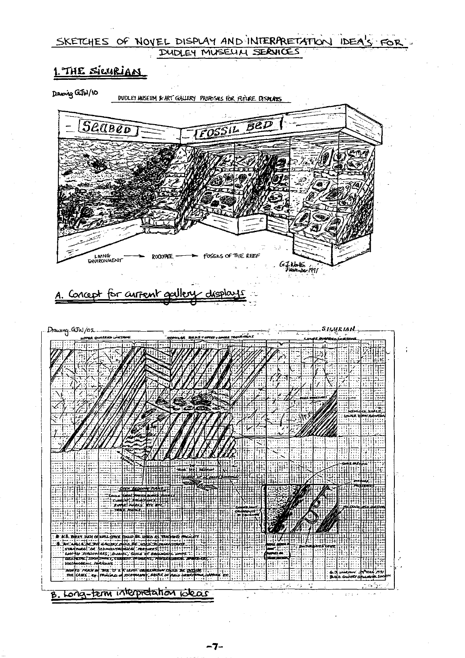# SKETCHES OF NOVEL DISPLAY AND INTERPRETATION IDEA'S FOR DUDLEY MUSELIN SERVICES

# THE SICURIAN



DUDLEY HUSEUM & ART GALLERY PROPOSALS FOR FUTURE DISPLAYS

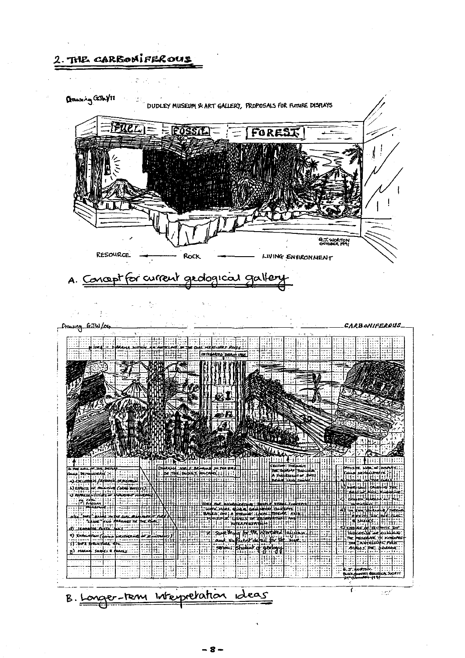2. THE CARBONIFEROUS  $\mathbb{C}^2$ **GRAN'S GENYII** DUDLEY MUSEUM & ART GALLERY, PROPOSALS FOR FUTURE DISPLAYS FUELI= = FOSSIL FOREST **A.J. WORTON RESOURCE** Rock LIVING ENVIRONMENT A. Concept for current geological gallery Ğ.  $\mathcal{A}^{\mathcal{A}}(\mathfrak{a})=\mathcal{A}^{\mathcal{A}}(\mathfrak{a})$  $\frac{3}{2}$  .  $\frac{1}{2}$ Drowing GrJW/O4 **CARBONIFEROUS THE COTTEGANTS DISPLAY** ्षांमग्री प्रम SECTION THEORAM **Current**  $\pm\overline{1}$ VIS CHARE CONTROL Inbirch et:Edonii me Handrein Leichstein<br>Handleich Handrein<br>Handleich Handrein **MHTTT** ie in <u>भुगलि एक</u>  $\pm 15 - 29$ معات **Ruta**ra **CLOSE** m dar  $3 - 77$ ĦĦ EAAA) **SHARE** 9). MAR 頭頭 井上 出出  $\mathbb{R}$ e. 파 ικη διακ B. Longer-tenn Interpretation Ideas  $\tau$  $\mathbb{R} \subset \mathbb{R}^d$ 

- 8 –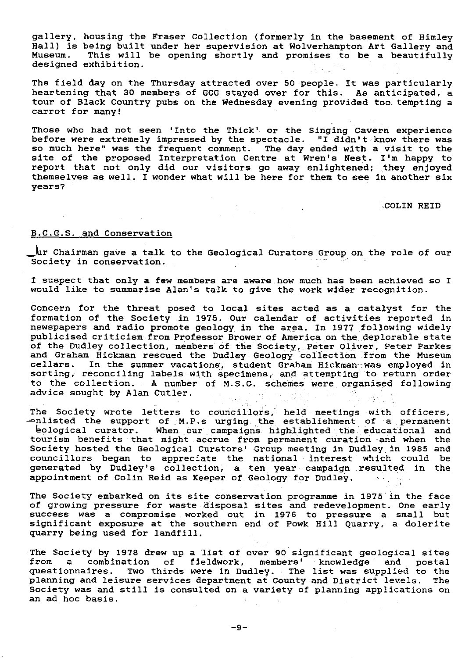gallery, housing the Fraser Collection (formerly in the basement of Himley Hall) is being built under her supervision at Wolverhampton Art Gallery and This will be opening shortly and promises to be a beautifully designed exhibition.

The field day on the Thursday attracted over 50 people. It was particularly heartening that 30 members of GCG stayed over for this. As anticipated, a tour of Black Country pubs on the Wednesday evening provided too tempting a carrot for many!

Those who had not seen 'Into the Thick' or the Singing Cavern experience before were extremely impressed by the spectacle. "I didn't know there was so much here" was the frequent comment. The day ended with a visit to the site of the proposed Interpretation Centre at Wren's Nest. I'm happy to report that not only did our visitors go away enlightened; they enjoyed themselves as well. I wonder what will be here for them to see in another six years?

 $\label{eq:2.1} \begin{split} \mathcal{L}_{\text{max}}(\mathbf{r},\mathbf{r}) = \mathcal{L}_{\text{max}}(\mathbf{r},\mathbf{r}) = \mathcal{L}_{\text{max}}(\mathbf{r},\mathbf{r}) = \mathcal{L}_{\text{max}}(\mathbf{r},\mathbf{r}) = \mathcal{L}_{\text{max}}(\mathbf{r},\mathbf{r}) = \mathcal{L}_{\text{max}}(\mathbf{r},\mathbf{r}) = \mathcal{L}_{\text{max}}(\mathbf{r},\mathbf{r}) = \mathcal{L}_{\text{max}}(\mathbf{r},\mathbf{r}) = \mathcal{L}_{\text{max}}(\mathbf$ 

•\_COLIN REID

## B.C.G.S. and Conservation

Chairman gave a talk to the Geological Curators Group on the role of our Society in conservation.

I suspect that only a few members are aware how much has been achieved so I would like to summarise Alan's talk to give the work wider recognition.

Concern for the threat posed to local sites acted as a catalyst for the formation of the Society in 1975. Our calendar of activities reported in newspapers and radio promote geology in. the area. In 1977 following widely publicised criticism. from Professor Brower of America on the deplorable state of the Dudley collection, members of the Society, Peter Oliver, Peter Parkes and Graham Hickman rescued the Dudley Geology collection from the Museum cellars. In the summer vacations, student Graham Hickman-was employed in sorting, reconciling labels with specimens, and attempting to return order to the collection. A number of M.S.C. schemes were organised following advice sought by Alan Cutler.  $\sim 10^7$ 

The Society wrote letters to councillors, held meetings with officers, — nlisted the support of \_M.P.s urging the establishment of •a permanent **6ological** curator. When our campaigns highlighted the educational and tourism benefits that might accrue from permanent curation and. when the Society hosted the Geological Curators' Group meeting in Dudley, in 1985 and councillors began to appreciate the national interest which could be generated by Dudley's collection, a ten year campaign resulted in the appointment of Colin Reid as Keeper of Geology for Dudley.

The Society embarked on its site conservation programme in 1975 in the face of growing pressure for waste disposal sites and redevelopment. One early success was a compromise worked out in 1976 to pressure a small but significant exposure at the southern end of Powk Hill Quarry, a dolerite quarry being used for landfill.

The Society by 1978 drew up a list of over 90 significant geological sites from a combination of fieldwork, members' knowledge and postal questionnaires. Two thirds were in Dudley. The list was supplied to the planning and leisure services department at County and District levels. The planning and leisure services department at County and District levels. Society was and still is consulted on.a variety of planning applications on an ad hoc basis.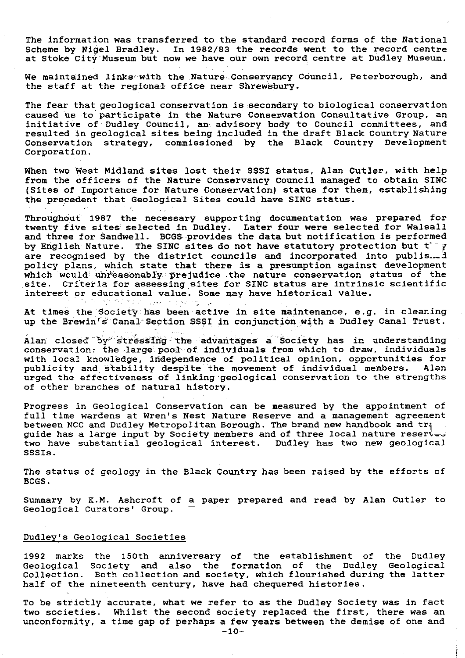The information was transferred to the standard record forms of the National Scheme by Nigel Bradley. In 1982/83 the records went to the record centre In 1982/83 the records went to the record centre at Stoke City Museum but now we have our own record centre at Dudley Museum.

We maintained links with the Nature Conservancy Council, Peterborough, and the staff at the regional office near Shrewsbury.

The fear that geological conservation is secondary to biological conservation caused us to participate in the Nature Conservation Consultative Group, an initiative of Dudley Council, an advisory body to Council committees, and resulted in geological sites being included in the draft Black Country Nature Conservation strategy, commissioned by the Black Country Development Corporation.

When two West Midland sites lost their SSSI status, Alan Cutler, with help from the officers of the Nature Conservancy Council managed to obtain SIN (Sites of Importance for Nature Conservation) status for them, establishing the precedent that Geological Sites could have SINC status.

Throughout 1987 the necessary supporting documentation was prepared for twenty five sites selected in Dudley. Later four were selected for Walsall and three for Sandwell. BCGS provides the data but notification is performed by English Nature. The SINC sites do not have statutory protection but  $t^ \gamma$ are recognised by the district councils and incorporated into publis. $\mathcal{A}$ policy plans, which state that there is a presumption against development which would unreasonably prejudice the nature conservation status of the site. Criteria for assessing sites for SINC status are intrinsic scientific interest or educational value. Some may have historical value.<br>And the source of the source of the source of the source of the source of the source of the source of the source of the source of the source of the source of t

At times the Society has been active in site maintenance, e.g. in cleaning up the Brewin's Canal Section SSSI in conjunction with a Dudley Canal Trust.

Alan closed by stressing the advantages a Society has in understanding conservation: the large pool of individuals from which to draw, individuals with local knowledge, independence of political opinion, opportunities for publicity and stability despite the movement of individual members. Alan urged the effectiveness of linking geological conservation to the strength: of other branches of natural history.

Progress in Geological Conservation can be measured by the appointment of full time wardens at Wren's Nest Nature Reserve and a management agreement between NCC and Dudley Metropolitan Borough. The brand new handbook and tra guide has a large input by Society members and of three local nature resert<del>.</del> two have substantial geological interest. Dudley has two new geological SSSIs.

The status of geology in the Black Country has been raised by the efforts of BCGS.

Summary by K.M. Ashcroft of a paper prepared and read by Alan Cutler to Geological Curators' Group.

#### Dudley's Geological Societies

1992 marks the 150th anniversary of the establishment of the Dudley Geological Society and also the formation of the Dudley Geological Collection. Both collection and society, which flourished during the latter half of the nineteenth century, have had chequered histories.

To be strictly accurate, what we refer to as the Dudley Society was in fact two societies. Whilst the second society replaced the first, there was an unconformity, a time gap of perhaps a few years between the demise of one and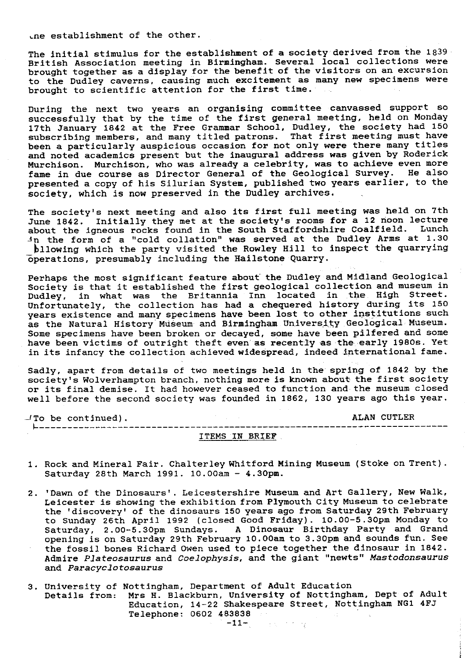Lne establishment of the other.

The initial stimulus for the establishment of a society derived from the 1839 British Association meeting in Birmingham. Several local collections were brought together as a display for the benefit of the visitors on an excursion to the Dudley caverns, causing much excitement as many new specimens were brought to scientific attention for the first time.

During the next two years an organising committee canvassed support so successfully that by the time of the first general meeting, held on Monday 17th January 1842 at the Free Grammar School, Dudley, the society had 150 subscribing members, and many titled patrons. That first meeting must have been a particularly auspicious occasion for not only were there many titles and noted academics present but the inaugural address was given by Roderick Murchison. Murchison, who was already a celebrity, was to achieve even more fame in due course as Director General of the Geological Survey. He also presented a copy of his Silurian System, published two years earlier, to the society, which is now preserved in the Dudley archives.

The society's next meeting and also its first full meeting was held on 7th June 1842. Initially they met at the society's rooms for a 12 noon lecture about the igneous rocks found in the South Staffordshire Coalfield. Lunch <sup>A</sup> n the form of a "cold collation" was served at the Dudley Arms at 1.30 bllowing which the party visited the Rowley Hill to inspect the quarrying operations, presumably including the Hailstone Quarry.

Perhaps the most significant feature about the Dudley and Midland Geological Society is that it established the first geological collection and museum in<br>Dudlev. in what was the Britannia Inn located in the High Street. in what was the Britannia Inn located in the High Street. Unfortunately, the collection has had a chequered history during its 150 years existence and many specimens have been lost to other institutions such as the Natural History Museum and Birmingham University Geological Museum. Some specimens have been broken or decayed, some have been pilfered and some have been victims of outright theft even as recently as the early 1980s. Yet in its infancy the collection achieved widespread, indeed international fame.

Sadly, apart from details of two meetings held in the spring of 1842 by the society's Wolverhampton branch, nothing more is known about the first society or its final demise. It had however ceased to function and the museum closed well before the second society was founded in 1862, 130 years ago this year.

-ITo be continued). ALAN CUTLER -------------------------------------------------------------------------

#### ITEMS IN BRIEF .

- 1. Rock and Mineral Fair. Chalterley Whitford Mining Museum (Stoke on Trent). Saturday 28th March 1991. 10.00am - 4.30pm.
- 2. 'Dawn of the Dinosaurs'. Leicestershire Museum and Art Gallery, New Walk, Leicester is showing the exhibition from Plymouth City Museum to celebrate the 'discovery' of the dinosaurs 150 years ago from Saturday 29th February to Sunday 26th April 1992 (closed Good Friday). 10.00-5.30pm Monday to Saturday, 2.00-5.30pm Sundays. A Dinosaur Birthday Party and Grand opening is on Saturday 29th February 10.00am to 3.3Opm and sounds fun. See the fossil bones Richard Owen used to piece together the dinosaur in 1842. Admire Plateosaurus and *Coelophysis,* and the giant "newts" Mastodonsaurus and Paracyclotosaurus
- 3. University of Nottingham, Department of Adult Education Details from: Mrs H. Blackburn, University of Nottingham, Dept of Adult Education, 14-22 Shakespeare Street, Nottingham NG1 4FJ Telephone: 0602 **483838**  $\mathcal{L}_{\mathrm{max}} = 3.1$